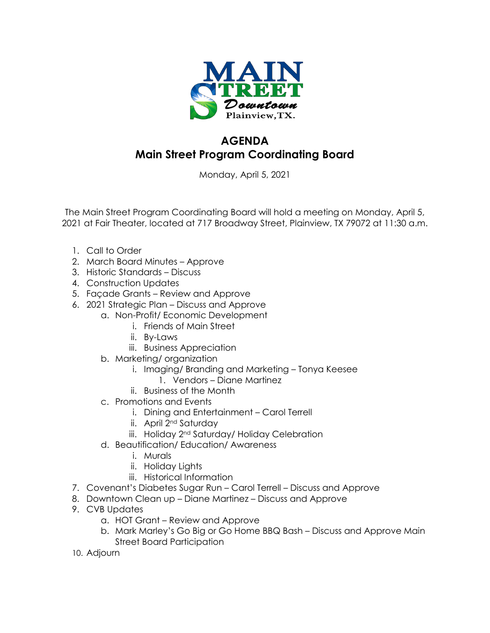

## **AGENDA Main Street Program Coordinating Board**

Monday, April 5, 2021

The Main Street Program Coordinating Board will hold a meeting on Monday, April 5, 2021 at Fair Theater, located at 717 Broadway Street, Plainview, TX 79072 at 11:30 a.m.

- 1. Call to Order
- 2. March Board Minutes Approve
- 3. Historic Standards Discuss
- 4. Construction Updates
- 5. Façade Grants Review and Approve
- 6. 2021 Strategic Plan Discuss and Approve
	- a. Non-Profit/ Economic Development
		- i. Friends of Main Street
		- ii. By-Laws
		- iii. Business Appreciation
	- b. Marketing/ organization
		- i. Imaging/ Branding and Marketing Tonya Keesee
			- 1. Vendors Diane Martinez
		- ii. Business of the Month
	- c. Promotions and Events
		- i. Dining and Entertainment Carol Terrell
		- ii. April 2nd Saturday
		- iii. Holiday 2<sup>nd</sup> Saturday/ Holiday Celebration
	- d. Beautification/ Education/ Awareness
		- i. Murals
		- ii. Holiday Lights
		- iii. Historical Information
- 7. Covenant's Diabetes Sugar Run Carol Terrell Discuss and Approve
- 8. Downtown Clean up Diane Martinez Discuss and Approve
- 9. CVB Updates
	- a. HOT Grant Review and Approve
	- b. Mark Marley's Go Big or Go Home BBQ Bash Discuss and Approve Main Street Board Participation
- 10. Adjourn